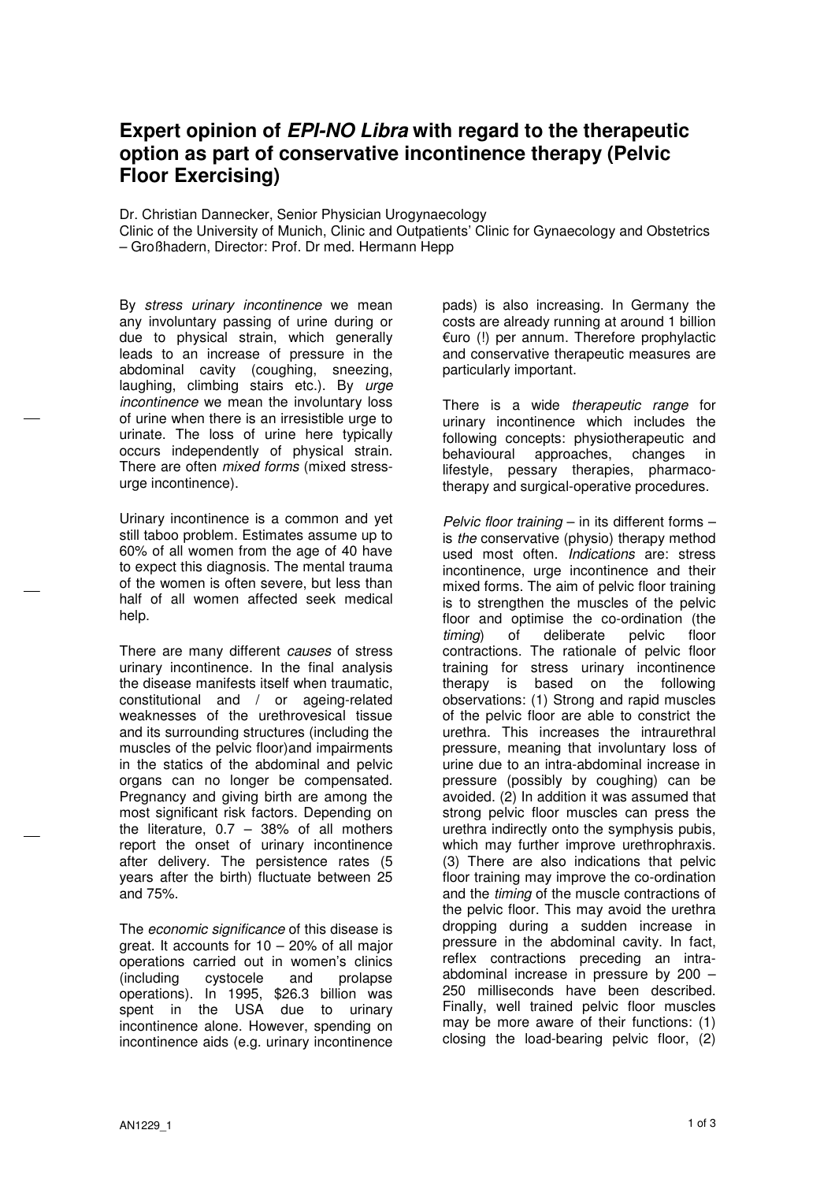## Expert opinion of EPI-NO Libra with regard to the therapeutic option as part of conservative incontinence therapy (Pelvic Floor Exercising)

Dr. Christian Dannecker, Senior Physician Urogynaecology

Clinic of the University of Munich, Clinic and Outpatients' Clinic for Gynaecology and Obstetrics – Großhadern, Director: Prof. Dr med. Hermann Hepp

By stress urinary incontinence we mean any involuntary passing of urine during or due to physical strain, which generally leads to an increase of pressure in the abdominal cavity (coughing, sneezing, laughing, climbing stairs etc.). By urge incontinence we mean the involuntary loss of urine when there is an irresistible urge to urinate. The loss of urine here typically occurs independently of physical strain. There are often mixed forms (mixed stressurge incontinence).

Urinary incontinence is a common and yet still taboo problem. Estimates assume up to 60% of all women from the age of 40 have to expect this diagnosis. The mental trauma of the women is often severe, but less than half of all women affected seek medical help.

There are many different causes of stress urinary incontinence. In the final analysis the disease manifests itself when traumatic, constitutional and / or ageing-related weaknesses of the urethrovesical tissue and its surrounding structures (including the muscles of the pelvic floor)and impairments in the statics of the abdominal and pelvic organs can no longer be compensated. Pregnancy and giving birth are among the most significant risk factors. Depending on the literature,  $0.7 - 38%$  of all mothers report the onset of urinary incontinence after delivery. The persistence rates (5 years after the birth) fluctuate between 25 and 75%.

The economic significance of this disease is great. It accounts for 10 – 20% of all major operations carried out in women's clinics<br>(including cystocele and prolapse (including cystocele and prolapse operations). In 1995, \$26.3 billion was spent in the USA due to urinary incontinence alone. However, spending on incontinence aids (e.g. urinary incontinence pads) is also increasing. In Germany the costs are already running at around 1 billion €uro (!) per annum. Therefore prophylactic and conservative therapeutic measures are particularly important.

There is a wide therapeutic range for urinary incontinence which includes the following concepts: physiotherapeutic and behavioural approaches, changes in lifestyle, pessary therapies, pharmacotherapy and surgical-operative procedures.

Pelvic floor training  $-$  in its different forms  $$ is the conservative (physio) therapy method used most often. Indications are: stress incontinence, urge incontinence and their mixed forms. The aim of pelvic floor training is to strengthen the muscles of the pelvic floor and optimise the co-ordination (the timing) of deliberate pelvic floor contractions. The rationale of pelvic floor training for stress urinary incontinence therapy is based on the following observations: (1) Strong and rapid muscles of the pelvic floor are able to constrict the urethra. This increases the intraurethral pressure, meaning that involuntary loss of urine due to an intra-abdominal increase in pressure (possibly by coughing) can be avoided. (2) In addition it was assumed that strong pelvic floor muscles can press the urethra indirectly onto the symphysis pubis, which may further improve urethrophraxis. (3) There are also indications that pelvic floor training may improve the co-ordination and the timing of the muscle contractions of the pelvic floor. This may avoid the urethra dropping during a sudden increase in pressure in the abdominal cavity. In fact, reflex contractions preceding an intraabdominal increase in pressure by 200 – 250 milliseconds have been described. Finally, well trained pelvic floor muscles may be more aware of their functions: (1) closing the load-bearing pelvic floor, (2)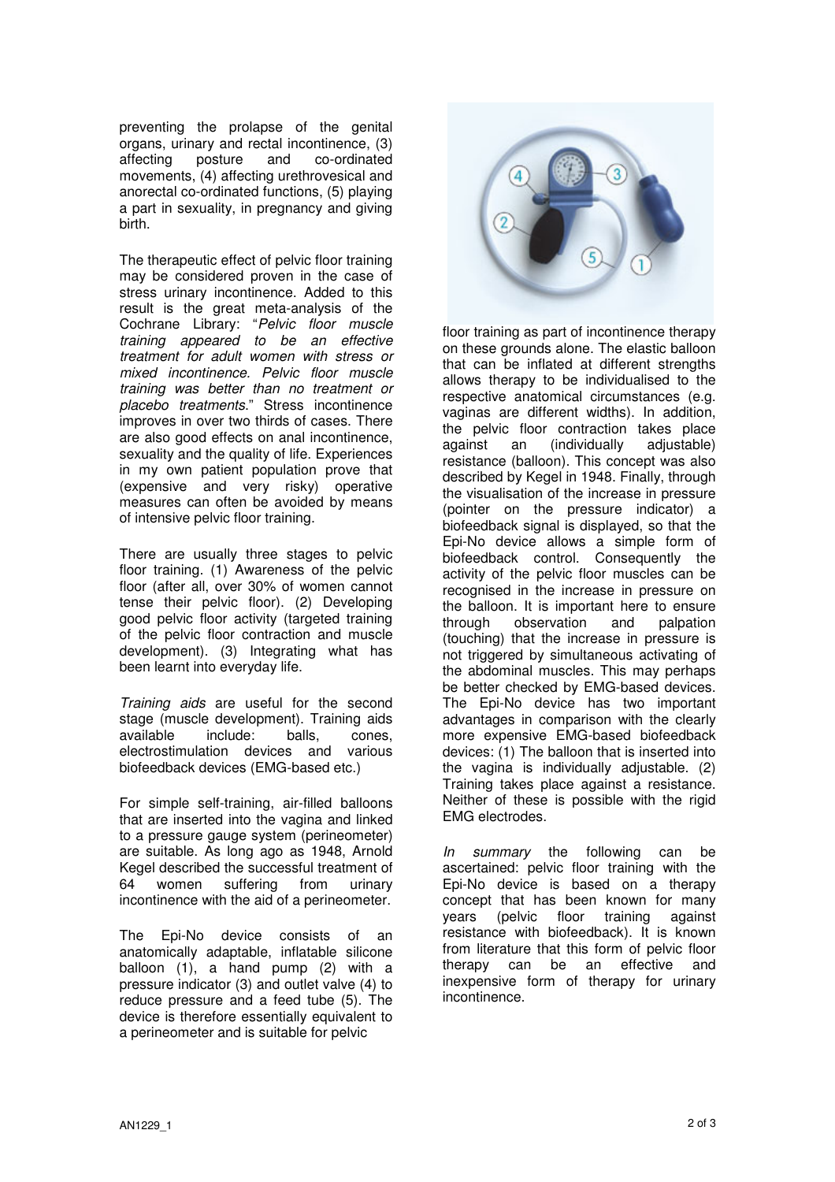preventing the prolapse of the genital organs, urinary and rectal incontinence, (3)<br>affecting posture and co-ordinated co-ordinated movements, (4) affecting urethrovesical and anorectal co-ordinated functions, (5) playing a part in sexuality, in pregnancy and giving birth.

The therapeutic effect of pelvic floor training may be considered proven in the case of stress urinary incontinence. Added to this result is the great meta-analysis of the Cochrane Library: "Pelvic floor muscle training appeared to be an effective treatment for adult women with stress or mixed incontinence. Pelvic floor muscle training was better than no treatment or placebo treatments." Stress incontinence improves in over two thirds of cases. There are also good effects on anal incontinence, sexuality and the quality of life. Experiences in my own patient population prove that (expensive and very risky) operative measures can often be avoided by means of intensive pelvic floor training.

There are usually three stages to pelvic floor training. (1) Awareness of the pelvic floor (after all, over 30% of women cannot tense their pelvic floor). (2) Developing good pelvic floor activity (targeted training of the pelvic floor contraction and muscle development). (3) Integrating what has been learnt into everyday life.

Training aids are useful for the second stage (muscle development). Training aids available include: balls, cones, electrostimulation devices and various biofeedback devices (EMG-based etc.)

For simple self-training, air-filled balloons that are inserted into the vagina and linked to a pressure gauge system (perineometer) are suitable. As long ago as 1948, Arnold Kegel described the successful treatment of 64 women suffering from urinary incontinence with the aid of a perineometer.

The Epi-No device consists of an anatomically adaptable, inflatable silicone balloon (1), a hand pump (2) with a pressure indicator (3) and outlet valve (4) to reduce pressure and a feed tube (5). The device is therefore essentially equivalent to a perineometer and is suitable for pelvic



floor training as part of incontinence therapy on these grounds alone. The elastic balloon that can be inflated at different strengths allows therapy to be individualised to the respective anatomical circumstances (e.g. vaginas are different widths). In addition, the pelvic floor contraction takes place against an (individually adjustable) resistance (balloon). This concept was also described by Kegel in 1948. Finally, through the visualisation of the increase in pressure (pointer on the pressure indicator) a biofeedback signal is displayed, so that the Epi-No device allows a simple form of biofeedback control. Consequently the activity of the pelvic floor muscles can be recognised in the increase in pressure on the balloon. It is important here to ensure through observation and palpation (touching) that the increase in pressure is not triggered by simultaneous activating of the abdominal muscles. This may perhaps be better checked by EMG-based devices. The Epi-No device has two important advantages in comparison with the clearly more expensive EMG-based biofeedback devices: (1) The balloon that is inserted into the vagina is individually adjustable. (2) Training takes place against a resistance. Neither of these is possible with the rigid EMG electrodes.

In summary the following can be ascertained: pelvic floor training with the Epi-No device is based on a therapy concept that has been known for many years (pelvic floor training against resistance with biofeedback). It is known from literature that this form of pelvic floor therapy can be an effective and inexpensive form of therapy for urinary incontinence.